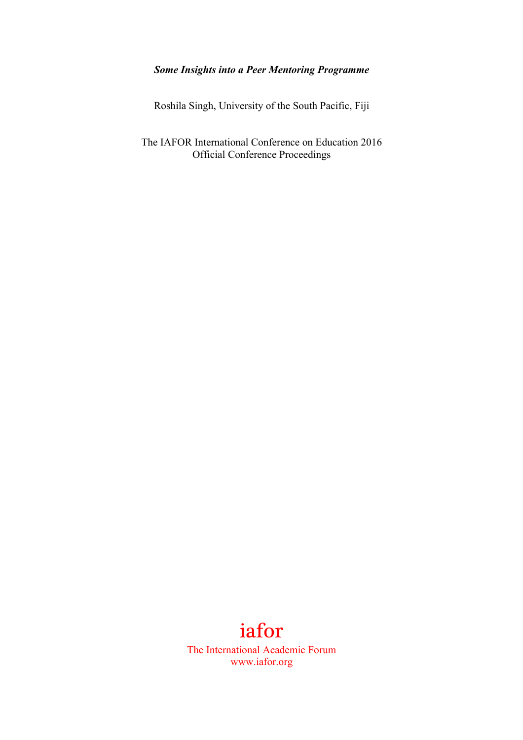# *Some Insights into a Peer Mentoring Programme*

Roshila Singh, University of the South Pacific, Fiji

The IAFOR International Conference on Education 2016 Official Conference Proceedings

# iafor

The International Academic Forum www.iafor.org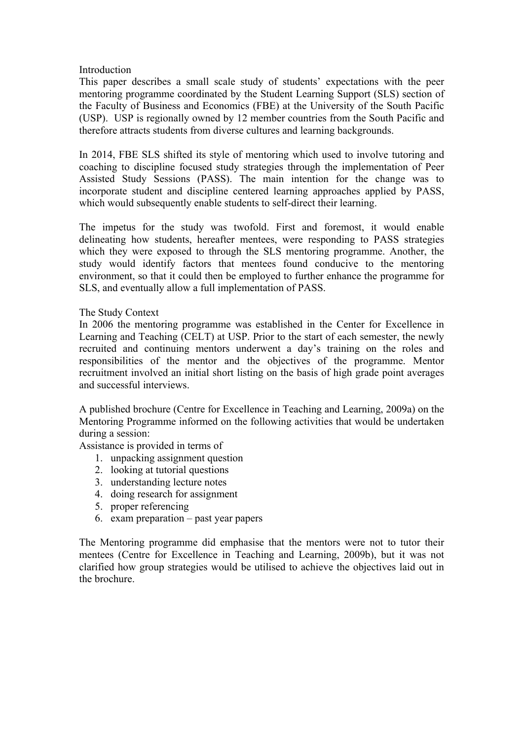## Introduction

This paper describes a small scale study of students' expectations with the peer mentoring programme coordinated by the Student Learning Support (SLS) section of the Faculty of Business and Economics (FBE) at the University of the South Pacific (USP). USP is regionally owned by 12 member countries from the South Pacific and therefore attracts students from diverse cultures and learning backgrounds.

In 2014, FBE SLS shifted its style of mentoring which used to involve tutoring and coaching to discipline focused study strategies through the implementation of Peer Assisted Study Sessions (PASS). The main intention for the change was to incorporate student and discipline centered learning approaches applied by PASS, which would subsequently enable students to self-direct their learning.

The impetus for the study was twofold. First and foremost, it would enable delineating how students, hereafter mentees, were responding to PASS strategies which they were exposed to through the SLS mentoring programme. Another, the study would identify factors that mentees found conducive to the mentoring environment, so that it could then be employed to further enhance the programme for SLS, and eventually allow a full implementation of PASS.

## The Study Context

In 2006 the mentoring programme was established in the Center for Excellence in Learning and Teaching (CELT) at USP. Prior to the start of each semester, the newly recruited and continuing mentors underwent a day's training on the roles and responsibilities of the mentor and the objectives of the programme. Mentor recruitment involved an initial short listing on the basis of high grade point averages and successful interviews.

A published brochure (Centre for Excellence in Teaching and Learning, 2009a) on the Mentoring Programme informed on the following activities that would be undertaken during a session:

Assistance is provided in terms of

- 1. unpacking assignment question
- 2. looking at tutorial questions
- 3. understanding lecture notes
- 4. doing research for assignment
- 5. proper referencing
- 6. exam preparation past year papers

The Mentoring programme did emphasise that the mentors were not to tutor their mentees (Centre for Excellence in Teaching and Learning, 2009b), but it was not clarified how group strategies would be utilised to achieve the objectives laid out in the brochure.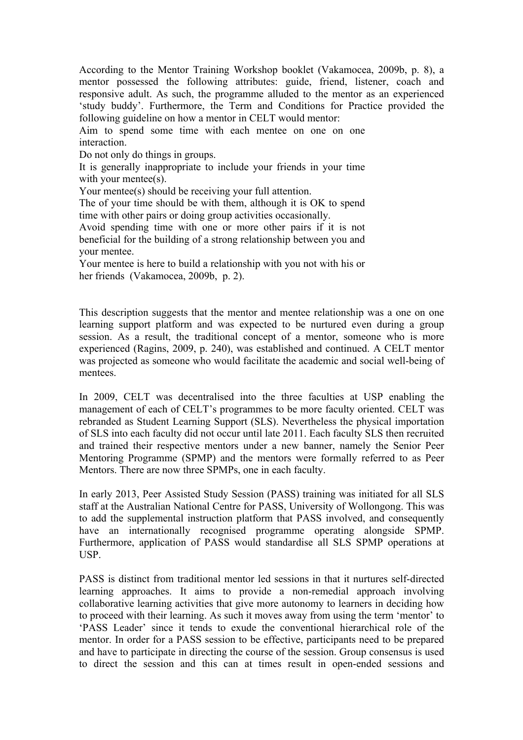According to the Mentor Training Workshop booklet (Vakamocea, 2009b, p. 8), a mentor possessed the following attributes: guide, friend, listener, coach and responsive adult. As such, the programme alluded to the mentor as an experienced 'study buddy'. Furthermore, the Term and Conditions for Practice provided the following guideline on how a mentor in CELT would mentor:

Aim to spend some time with each mentee on one on one interaction.

Do not only do things in groups.

It is generally inappropriate to include your friends in your time with your mentee(s).

Your mentee(s) should be receiving your full attention.

The of your time should be with them, although it is OK to spend time with other pairs or doing group activities occasionally.

Avoid spending time with one or more other pairs if it is not beneficial for the building of a strong relationship between you and your mentee.

Your mentee is here to build a relationship with you not with his or her friends (Vakamocea, 2009b, p. 2).

This description suggests that the mentor and mentee relationship was a one on one learning support platform and was expected to be nurtured even during a group session. As a result, the traditional concept of a mentor, someone who is more experienced (Ragins, 2009, p. 240), was established and continued. A CELT mentor was projected as someone who would facilitate the academic and social well-being of mentees.

In 2009, CELT was decentralised into the three faculties at USP enabling the management of each of CELT's programmes to be more faculty oriented. CELT was rebranded as Student Learning Support (SLS). Nevertheless the physical importation of SLS into each faculty did not occur until late 2011. Each faculty SLS then recruited and trained their respective mentors under a new banner, namely the Senior Peer Mentoring Programme (SPMP) and the mentors were formally referred to as Peer Mentors. There are now three SPMPs, one in each faculty.

In early 2013, Peer Assisted Study Session (PASS) training was initiated for all SLS staff at the Australian National Centre for PASS, University of Wollongong. This was to add the supplemental instruction platform that PASS involved, and consequently have an internationally recognised programme operating alongside SPMP. Furthermore, application of PASS would standardise all SLS SPMP operations at USP.

PASS is distinct from traditional mentor led sessions in that it nurtures self-directed learning approaches. It aims to provide a non-remedial approach involving collaborative learning activities that give more autonomy to learners in deciding how to proceed with their learning. As such it moves away from using the term 'mentor' to 'PASS Leader' since it tends to exude the conventional hierarchical role of the mentor. In order for a PASS session to be effective, participants need to be prepared and have to participate in directing the course of the session. Group consensus is used to direct the session and this can at times result in open-ended sessions and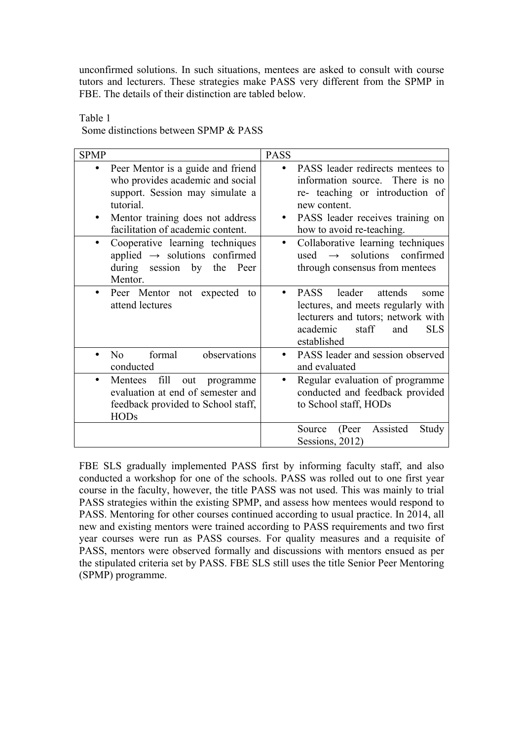unconfirmed solutions. In such situations, mentees are asked to consult with course tutors and lecturers. These strategies make PASS very different from the SPMP in FBE. The details of their distinction are tabled below.

SPMP PASS • Peer Mentor is a guide and friend who provides academic and social support. Session may simulate a tutorial. Mentor training does not address facilitation of academic content. PASS leader redirects mentees to information source. There is no re- teaching or introduction of new content. • PASS leader receives training on how to avoid re-teaching. • Cooperative learning techniques applied  $\rightarrow$  solutions confirmed during session by the Peer Mentor. • Collaborative learning techniques used  $\rightarrow$  solutions confirmed through consensus from mentees • Peer Mentor not expected to attend lectures • PASS leader attends some lectures, and meets regularly with lecturers and tutors; network with academic staff and SLS established • No formal observations conducted • PASS leader and session observed and evaluated Mentees fill out programme evaluation at end of semester and feedback provided to School staff, HODs Regular evaluation of programme conducted and feedback provided to School staff, HODs Source (Peer Assisted Study Sessions, 2012)

Table 1 Some distinctions between SPMP & PASS

FBE SLS gradually implemented PASS first by informing faculty staff, and also conducted a workshop for one of the schools. PASS was rolled out to one first year course in the faculty, however, the title PASS was not used. This was mainly to trial PASS strategies within the existing SPMP, and assess how mentees would respond to PASS. Mentoring for other courses continued according to usual practice. In 2014, all new and existing mentors were trained according to PASS requirements and two first year courses were run as PASS courses. For quality measures and a requisite of PASS, mentors were observed formally and discussions with mentors ensued as per the stipulated criteria set by PASS. FBE SLS still uses the title Senior Peer Mentoring (SPMP) programme.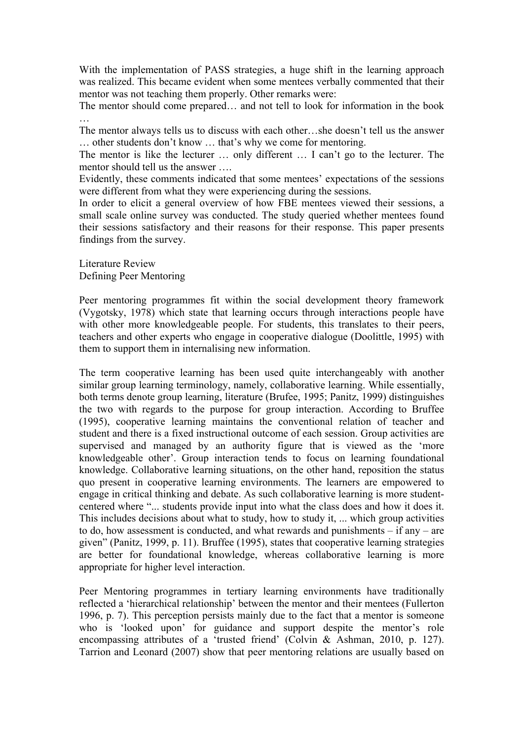With the implementation of PASS strategies, a huge shift in the learning approach was realized. This became evident when some mentees verbally commented that their mentor was not teaching them properly. Other remarks were:

The mentor should come prepared… and not tell to look for information in the book …

The mentor always tells us to discuss with each other…she doesn't tell us the answer … other students don't know … that's why we come for mentoring.

The mentor is like the lecturer … only different … I can't go to the lecturer. The mentor should tell us the answer ….

Evidently, these comments indicated that some mentees' expectations of the sessions were different from what they were experiencing during the sessions.

In order to elicit a general overview of how FBE mentees viewed their sessions, a small scale online survey was conducted. The study queried whether mentees found their sessions satisfactory and their reasons for their response. This paper presents findings from the survey.

Literature Review Defining Peer Mentoring

Peer mentoring programmes fit within the social development theory framework (Vygotsky, 1978) which state that learning occurs through interactions people have with other more knowledgeable people. For students, this translates to their peers, teachers and other experts who engage in cooperative dialogue (Doolittle, 1995) with them to support them in internalising new information.

The term cooperative learning has been used quite interchangeably with another similar group learning terminology, namely, collaborative learning. While essentially, both terms denote group learning, literature (Brufee, 1995; Panitz, 1999) distinguishes the two with regards to the purpose for group interaction. According to Bruffee (1995), cooperative learning maintains the conventional relation of teacher and student and there is a fixed instructional outcome of each session. Group activities are supervised and managed by an authority figure that is viewed as the 'more knowledgeable other'. Group interaction tends to focus on learning foundational knowledge. Collaborative learning situations, on the other hand, reposition the status quo present in cooperative learning environments. The learners are empowered to engage in critical thinking and debate. As such collaborative learning is more studentcentered where "... students provide input into what the class does and how it does it. This includes decisions about what to study, how to study it, ... which group activities to do, how assessment is conducted, and what rewards and punishments – if any – are given" (Panitz, 1999, p. 11). Bruffee (1995), states that cooperative learning strategies are better for foundational knowledge, whereas collaborative learning is more appropriate for higher level interaction.

Peer Mentoring programmes in tertiary learning environments have traditionally reflected a 'hierarchical relationship' between the mentor and their mentees (Fullerton 1996, p. 7). This perception persists mainly due to the fact that a mentor is someone who is 'looked upon' for guidance and support despite the mentor's role encompassing attributes of a 'trusted friend' (Colvin & Ashman, 2010, p. 127). Tarrion and Leonard (2007) show that peer mentoring relations are usually based on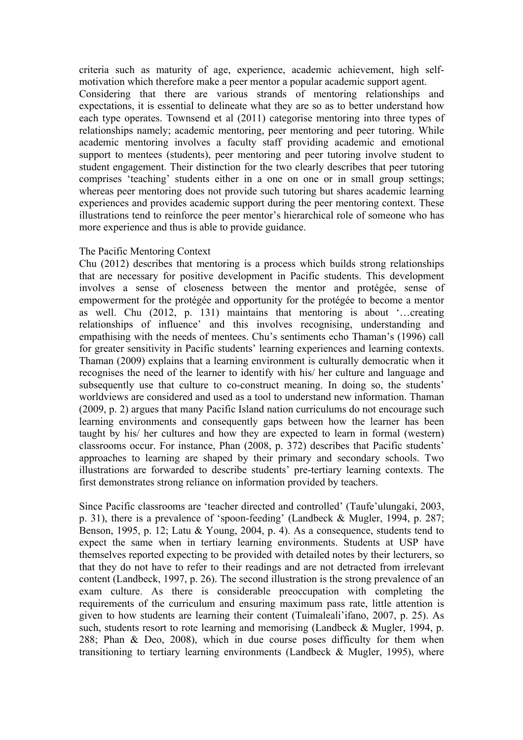criteria such as maturity of age, experience, academic achievement, high selfmotivation which therefore make a peer mentor a popular academic support agent. Considering that there are various strands of mentoring relationships and expectations, it is essential to delineate what they are so as to better understand how each type operates. Townsend et al (2011) categorise mentoring into three types of relationships namely; academic mentoring, peer mentoring and peer tutoring. While academic mentoring involves a faculty staff providing academic and emotional support to mentees (students), peer mentoring and peer tutoring involve student to student engagement. Their distinction for the two clearly describes that peer tutoring comprises 'teaching' students either in a one on one or in small group settings; whereas peer mentoring does not provide such tutoring but shares academic learning experiences and provides academic support during the peer mentoring context. These illustrations tend to reinforce the peer mentor's hierarchical role of someone who has more experience and thus is able to provide guidance.

#### The Pacific Mentoring Context

Chu (2012) describes that mentoring is a process which builds strong relationships that are necessary for positive development in Pacific students. This development involves a sense of closeness between the mentor and protégée, sense of empowerment for the protégée and opportunity for the protégée to become a mentor as well. Chu (2012, p. 131) maintains that mentoring is about '…creating relationships of influence' and this involves recognising, understanding and empathising with the needs of mentees. Chu's sentiments echo Thaman's (1996) call for greater sensitivity in Pacific students' learning experiences and learning contexts. Thaman (2009) explains that a learning environment is culturally democratic when it recognises the need of the learner to identify with his/ her culture and language and subsequently use that culture to co-construct meaning. In doing so, the students' worldviews are considered and used as a tool to understand new information. Thaman (2009, p. 2) argues that many Pacific Island nation curriculums do not encourage such learning environments and consequently gaps between how the learner has been taught by his/ her cultures and how they are expected to learn in formal (western) classrooms occur. For instance, Phan (2008, p. 372) describes that Pacific students' approaches to learning are shaped by their primary and secondary schools. Two illustrations are forwarded to describe students' pre-tertiary learning contexts. The first demonstrates strong reliance on information provided by teachers.

Since Pacific classrooms are 'teacher directed and controlled' (Taufe'ulungaki, 2003, p. 31), there is a prevalence of 'spoon-feeding' (Landbeck & Mugler, 1994, p. 287; Benson, 1995, p. 12; Latu & Young, 2004, p. 4). As a consequence, students tend to expect the same when in tertiary learning environments. Students at USP have themselves reported expecting to be provided with detailed notes by their lecturers, so that they do not have to refer to their readings and are not detracted from irrelevant content (Landbeck, 1997, p. 26). The second illustration is the strong prevalence of an exam culture. As there is considerable preoccupation with completing the requirements of the curriculum and ensuring maximum pass rate, little attention is given to how students are learning their content (Tuimaleali'ifano, 2007, p. 25). As such, students resort to rote learning and memorising (Landbeck & Mugler, 1994, p. 288; Phan & Deo, 2008), which in due course poses difficulty for them when transitioning to tertiary learning environments (Landbeck & Mugler, 1995), where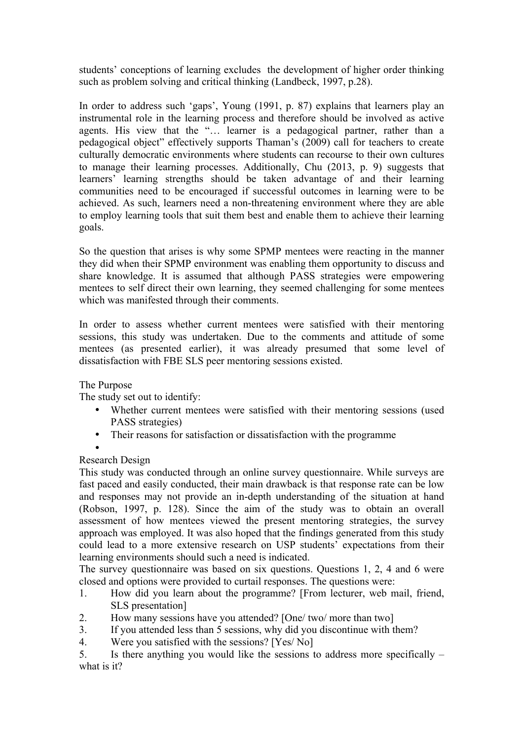students' conceptions of learning excludes the development of higher order thinking such as problem solving and critical thinking (Landbeck, 1997, p.28).

In order to address such 'gaps', Young (1991, p. 87) explains that learners play an instrumental role in the learning process and therefore should be involved as active agents. His view that the "… learner is a pedagogical partner, rather than a pedagogical object" effectively supports Thaman's (2009) call for teachers to create culturally democratic environments where students can recourse to their own cultures to manage their learning processes. Additionally, Chu (2013, p. 9) suggests that learners' learning strengths should be taken advantage of and their learning communities need to be encouraged if successful outcomes in learning were to be achieved. As such, learners need a non-threatening environment where they are able to employ learning tools that suit them best and enable them to achieve their learning goals.

So the question that arises is why some SPMP mentees were reacting in the manner they did when their SPMP environment was enabling them opportunity to discuss and share knowledge. It is assumed that although PASS strategies were empowering mentees to self direct their own learning, they seemed challenging for some mentees which was manifested through their comments.

In order to assess whether current mentees were satisfied with their mentoring sessions, this study was undertaken. Due to the comments and attitude of some mentees (as presented earlier), it was already presumed that some level of dissatisfaction with FBE SLS peer mentoring sessions existed.

# The Purpose

The study set out to identify:

- Whether current mentees were satisfied with their mentoring sessions (used PASS strategies)
- Their reasons for satisfaction or dissatisfaction with the programme

#### • Research Design

This study was conducted through an online survey questionnaire. While surveys are fast paced and easily conducted, their main drawback is that response rate can be low and responses may not provide an in-depth understanding of the situation at hand (Robson, 1997, p. 128). Since the aim of the study was to obtain an overall assessment of how mentees viewed the present mentoring strategies, the survey approach was employed. It was also hoped that the findings generated from this study could lead to a more extensive research on USP students' expectations from their learning environments should such a need is indicated.

The survey questionnaire was based on six questions. Questions 1, 2, 4 and 6 were closed and options were provided to curtail responses. The questions were:

- 1. How did you learn about the programme? [From lecturer, web mail, friend, SLS presentation]
- 2. How many sessions have you attended? [One/ two/ more than two]
- 3. If you attended less than 5 sessions, why did you discontinue with them?
- 4. Were you satisfied with the sessions? [Yes/ No]

5. Is there anything you would like the sessions to address more specifically – what is it?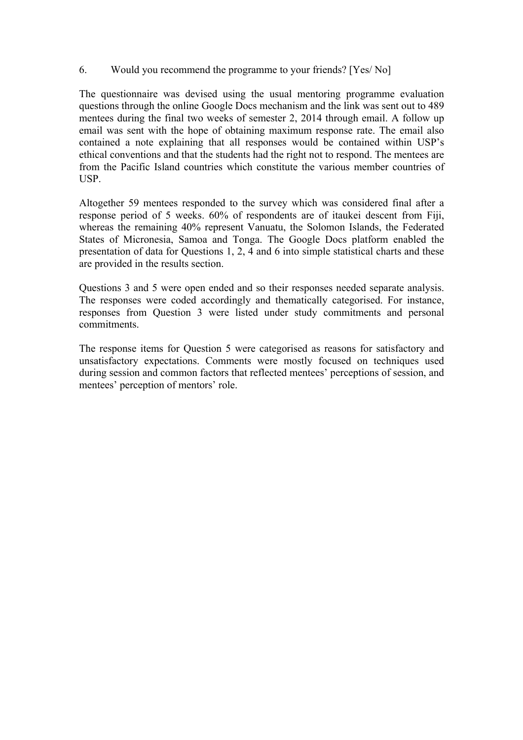## 6. Would you recommend the programme to your friends? [Yes/ No]

The questionnaire was devised using the usual mentoring programme evaluation questions through the online Google Docs mechanism and the link was sent out to 489 mentees during the final two weeks of semester 2, 2014 through email. A follow up email was sent with the hope of obtaining maximum response rate. The email also contained a note explaining that all responses would be contained within USP's ethical conventions and that the students had the right not to respond. The mentees are from the Pacific Island countries which constitute the various member countries of USP.

Altogether 59 mentees responded to the survey which was considered final after a response period of 5 weeks. 60% of respondents are of itaukei descent from Fiji, whereas the remaining 40% represent Vanuatu, the Solomon Islands, the Federated States of Micronesia, Samoa and Tonga. The Google Docs platform enabled the presentation of data for Questions 1, 2, 4 and 6 into simple statistical charts and these are provided in the results section.

Questions 3 and 5 were open ended and so their responses needed separate analysis. The responses were coded accordingly and thematically categorised. For instance, responses from Question 3 were listed under study commitments and personal commitments.

The response items for Question 5 were categorised as reasons for satisfactory and unsatisfactory expectations. Comments were mostly focused on techniques used during session and common factors that reflected mentees' perceptions of session, and mentees' perception of mentors' role.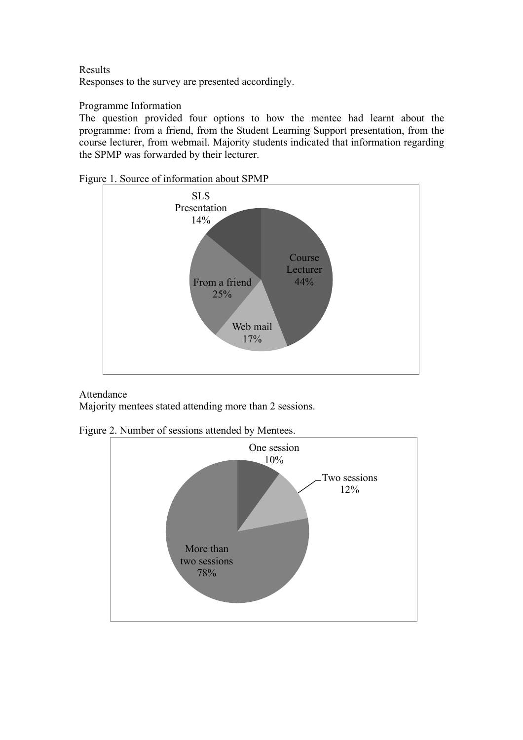Results Responses to the survey are presented accordingly.

# Programme Information

The question provided four options to how the mentee had learnt about the programme: from a friend, from the Student Learning Support presentation, from the course lecturer, from webmail. Majority students indicated that information regarding the SPMP was forwarded by their lecturer.



Figure 1. Source of information about SPMP

Attendance Majority mentees stated attending more than 2 sessions.

Figure 2. Number of sessions attended by Mentees.

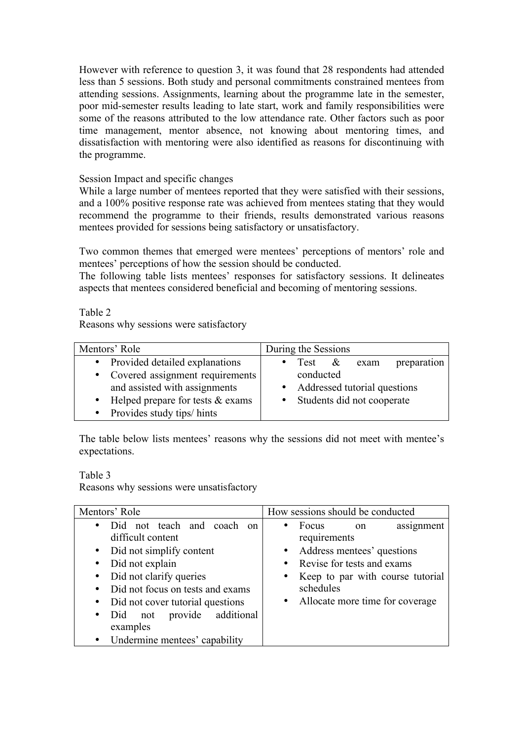However with reference to question 3, it was found that 28 respondents had attended less than 5 sessions. Both study and personal commitments constrained mentees from attending sessions. Assignments, learning about the programme late in the semester, poor mid-semester results leading to late start, work and family responsibilities were some of the reasons attributed to the low attendance rate. Other factors such as poor time management, mentor absence, not knowing about mentoring times, and dissatisfaction with mentoring were also identified as reasons for discontinuing with the programme.

## Session Impact and specific changes

While a large number of mentees reported that they were satisfied with their sessions, and a 100% positive response rate was achieved from mentees stating that they would recommend the programme to their friends, results demonstrated various reasons mentees provided for sessions being satisfactory or unsatisfactory.

Two common themes that emerged were mentees' perceptions of mentors' role and mentees' perceptions of how the session should be conducted.

The following table lists mentees' responses for satisfactory sessions. It delineates aspects that mentees considered beneficial and becoming of mentoring sessions.

Table 2

Reasons why sessions were satisfactory

| Mentors' Role                                                                                                                                                                  | During the Sessions                                                                                                          |
|--------------------------------------------------------------------------------------------------------------------------------------------------------------------------------|------------------------------------------------------------------------------------------------------------------------------|
| • Provided detailed explanations<br>• Covered assignment requirements<br>and assisted with assignments<br>• Helped prepare for tests $&$ exams<br>• Provides study tips/ hints | preparation<br>Test $\&$<br>$\bullet$<br>exam<br>conducted<br>• Addressed tutorial questions<br>• Students did not cooperate |

The table below lists mentees' reasons why the sessions did not meet with mentee's expectations.

Table 3

Reasons why sessions were unsatisfactory

| Mentors' Role                                                                                                                                                                                                                                                                                                                                          | How sessions should be conducted                                                                                                                                                          |
|--------------------------------------------------------------------------------------------------------------------------------------------------------------------------------------------------------------------------------------------------------------------------------------------------------------------------------------------------------|-------------------------------------------------------------------------------------------------------------------------------------------------------------------------------------------|
| Did not teach and coach on<br>$\bullet$<br>difficult content<br>• Did not simplify content<br>Did not explain<br>$\bullet$<br>Did not clarify queries<br>$\bullet$<br>• Did not focus on tests and exams<br>Did not cover tutorial questions<br>$\bullet$<br>not provide additional<br>Did<br>$\bullet$<br>examples<br>• Undermine mentees' capability | Focus<br>assignment<br>on<br>requirements<br>Address mentees' questions<br>Revise for tests and exams<br>Keep to par with course tutorial<br>schedules<br>Allocate more time for coverage |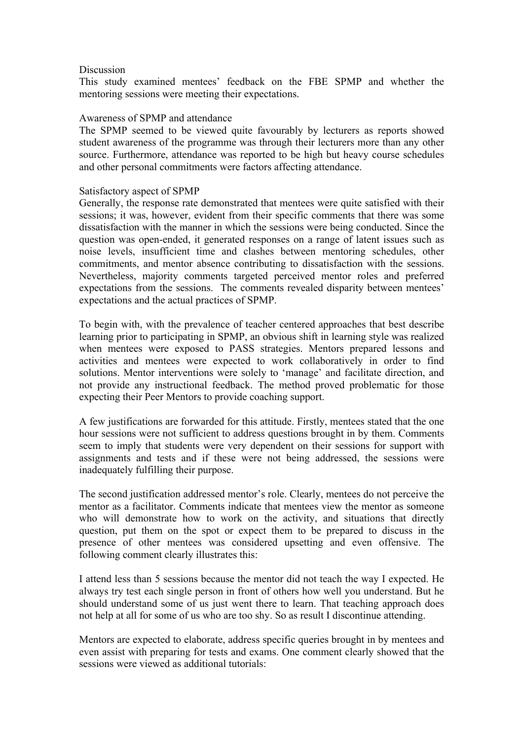#### **Discussion**

This study examined mentees' feedback on the FBE SPMP and whether the mentoring sessions were meeting their expectations.

#### Awareness of SPMP and attendance

The SPMP seemed to be viewed quite favourably by lecturers as reports showed student awareness of the programme was through their lecturers more than any other source. Furthermore, attendance was reported to be high but heavy course schedules and other personal commitments were factors affecting attendance.

#### Satisfactory aspect of SPMP

Generally, the response rate demonstrated that mentees were quite satisfied with their sessions; it was, however, evident from their specific comments that there was some dissatisfaction with the manner in which the sessions were being conducted. Since the question was open-ended, it generated responses on a range of latent issues such as noise levels, insufficient time and clashes between mentoring schedules, other commitments, and mentor absence contributing to dissatisfaction with the sessions. Nevertheless, majority comments targeted perceived mentor roles and preferred expectations from the sessions. The comments revealed disparity between mentees' expectations and the actual practices of SPMP.

To begin with, with the prevalence of teacher centered approaches that best describe learning prior to participating in SPMP, an obvious shift in learning style was realized when mentees were exposed to PASS strategies. Mentors prepared lessons and activities and mentees were expected to work collaboratively in order to find solutions. Mentor interventions were solely to 'manage' and facilitate direction, and not provide any instructional feedback. The method proved problematic for those expecting their Peer Mentors to provide coaching support.

A few justifications are forwarded for this attitude. Firstly, mentees stated that the one hour sessions were not sufficient to address questions brought in by them. Comments seem to imply that students were very dependent on their sessions for support with assignments and tests and if these were not being addressed, the sessions were inadequately fulfilling their purpose.

The second justification addressed mentor's role. Clearly, mentees do not perceive the mentor as a facilitator. Comments indicate that mentees view the mentor as someone who will demonstrate how to work on the activity, and situations that directly question, put them on the spot or expect them to be prepared to discuss in the presence of other mentees was considered upsetting and even offensive. The following comment clearly illustrates this:

I attend less than 5 sessions because the mentor did not teach the way I expected. He always try test each single person in front of others how well you understand. But he should understand some of us just went there to learn. That teaching approach does not help at all for some of us who are too shy. So as result I discontinue attending.

Mentors are expected to elaborate, address specific queries brought in by mentees and even assist with preparing for tests and exams. One comment clearly showed that the sessions were viewed as additional tutorials: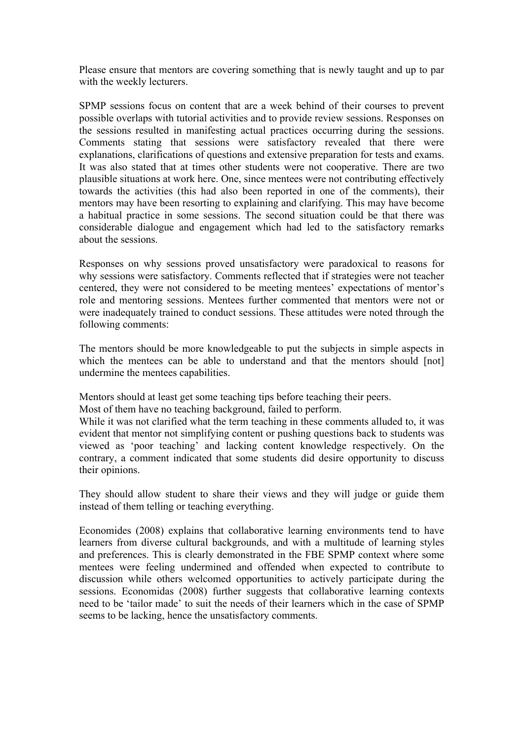Please ensure that mentors are covering something that is newly taught and up to par with the weekly lecturers.

SPMP sessions focus on content that are a week behind of their courses to prevent possible overlaps with tutorial activities and to provide review sessions. Responses on the sessions resulted in manifesting actual practices occurring during the sessions. Comments stating that sessions were satisfactory revealed that there were explanations, clarifications of questions and extensive preparation for tests and exams. It was also stated that at times other students were not cooperative. There are two plausible situations at work here. One, since mentees were not contributing effectively towards the activities (this had also been reported in one of the comments), their mentors may have been resorting to explaining and clarifying. This may have become a habitual practice in some sessions. The second situation could be that there was considerable dialogue and engagement which had led to the satisfactory remarks about the sessions.

Responses on why sessions proved unsatisfactory were paradoxical to reasons for why sessions were satisfactory. Comments reflected that if strategies were not teacher centered, they were not considered to be meeting mentees' expectations of mentor's role and mentoring sessions. Mentees further commented that mentors were not or were inadequately trained to conduct sessions. These attitudes were noted through the following comments:

The mentors should be more knowledgeable to put the subjects in simple aspects in which the mentees can be able to understand and that the mentors should [not] undermine the mentees capabilities.

Mentors should at least get some teaching tips before teaching their peers.

Most of them have no teaching background, failed to perform.

While it was not clarified what the term teaching in these comments alluded to, it was evident that mentor not simplifying content or pushing questions back to students was viewed as 'poor teaching' and lacking content knowledge respectively. On the contrary, a comment indicated that some students did desire opportunity to discuss their opinions.

They should allow student to share their views and they will judge or guide them instead of them telling or teaching everything.

Economides (2008) explains that collaborative learning environments tend to have learners from diverse cultural backgrounds, and with a multitude of learning styles and preferences. This is clearly demonstrated in the FBE SPMP context where some mentees were feeling undermined and offended when expected to contribute to discussion while others welcomed opportunities to actively participate during the sessions. Economidas (2008) further suggests that collaborative learning contexts need to be 'tailor made' to suit the needs of their learners which in the case of SPMP seems to be lacking, hence the unsatisfactory comments.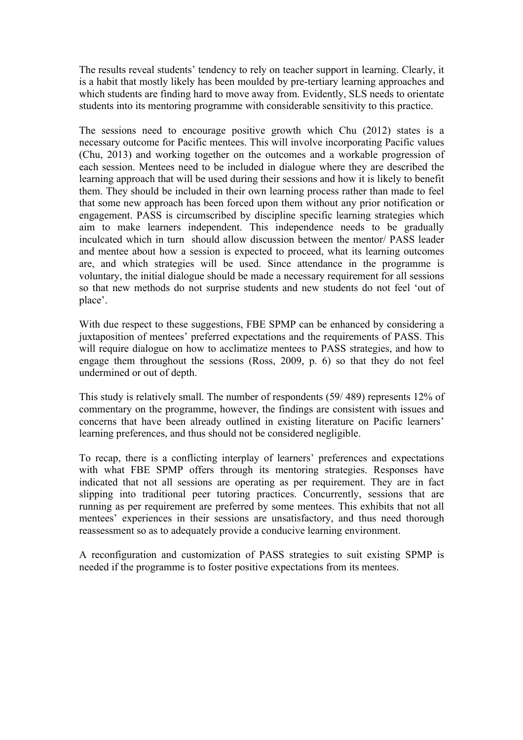The results reveal students' tendency to rely on teacher support in learning. Clearly, it is a habit that mostly likely has been moulded by pre-tertiary learning approaches and which students are finding hard to move away from. Evidently, SLS needs to orientate students into its mentoring programme with considerable sensitivity to this practice.

The sessions need to encourage positive growth which Chu (2012) states is a necessary outcome for Pacific mentees. This will involve incorporating Pacific values (Chu, 2013) and working together on the outcomes and a workable progression of each session. Mentees need to be included in dialogue where they are described the learning approach that will be used during their sessions and how it is likely to benefit them. They should be included in their own learning process rather than made to feel that some new approach has been forced upon them without any prior notification or engagement. PASS is circumscribed by discipline specific learning strategies which aim to make learners independent. This independence needs to be gradually inculcated which in turn should allow discussion between the mentor/ PASS leader and mentee about how a session is expected to proceed, what its learning outcomes are, and which strategies will be used. Since attendance in the programme is voluntary, the initial dialogue should be made a necessary requirement for all sessions so that new methods do not surprise students and new students do not feel 'out of place'.

With due respect to these suggestions, FBE SPMP can be enhanced by considering a juxtaposition of mentees' preferred expectations and the requirements of PASS. This will require dialogue on how to acclimatize mentees to PASS strategies, and how to engage them throughout the sessions (Ross, 2009, p. 6) so that they do not feel undermined or out of depth.

This study is relatively small. The number of respondents (59/ 489) represents 12% of commentary on the programme, however, the findings are consistent with issues and concerns that have been already outlined in existing literature on Pacific learners' learning preferences, and thus should not be considered negligible.

To recap, there is a conflicting interplay of learners' preferences and expectations with what FBE SPMP offers through its mentoring strategies. Responses have indicated that not all sessions are operating as per requirement. They are in fact slipping into traditional peer tutoring practices. Concurrently, sessions that are running as per requirement are preferred by some mentees. This exhibits that not all mentees' experiences in their sessions are unsatisfactory, and thus need thorough reassessment so as to adequately provide a conducive learning environment.

A reconfiguration and customization of PASS strategies to suit existing SPMP is needed if the programme is to foster positive expectations from its mentees.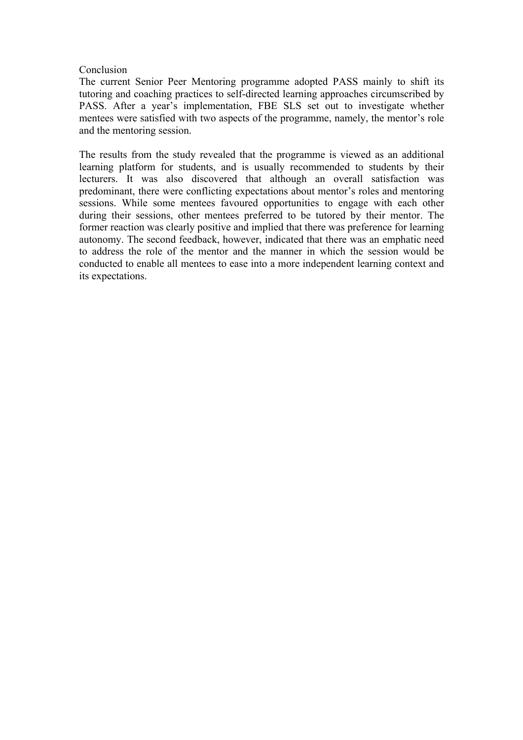#### **Conclusion**

The current Senior Peer Mentoring programme adopted PASS mainly to shift its tutoring and coaching practices to self-directed learning approaches circumscribed by PASS. After a year's implementation, FBE SLS set out to investigate whether mentees were satisfied with two aspects of the programme, namely, the mentor's role and the mentoring session.

The results from the study revealed that the programme is viewed as an additional learning platform for students, and is usually recommended to students by their lecturers. It was also discovered that although an overall satisfaction was predominant, there were conflicting expectations about mentor's roles and mentoring sessions. While some mentees favoured opportunities to engage with each other during their sessions, other mentees preferred to be tutored by their mentor. The former reaction was clearly positive and implied that there was preference for learning autonomy. The second feedback, however, indicated that there was an emphatic need to address the role of the mentor and the manner in which the session would be conducted to enable all mentees to ease into a more independent learning context and its expectations.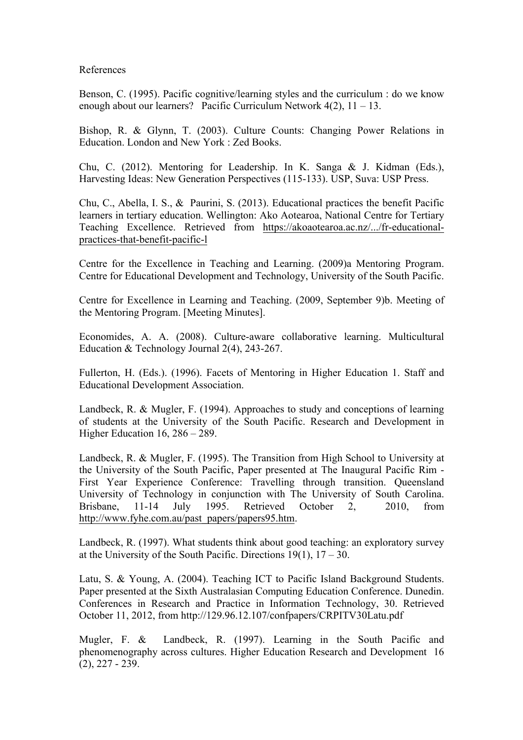#### References

Benson, C. (1995). Pacific cognitive/learning styles and the curriculum : do we know enough about our learners? Pacific Curriculum Network  $4(2)$ ,  $11 - 13$ .

Bishop, R. & Glynn, T. (2003). Culture Counts: Changing Power Relations in Education. London and New York : Zed Books.

Chu, C. (2012). Mentoring for Leadership. In K. Sanga & J. Kidman (Eds.), Harvesting Ideas: New Generation Perspectives (115-133). USP, Suva: USP Press.

Chu, C., Abella, I. S., & Paurini, S. (2013). Educational practices the benefit Pacific learners in tertiary education. Wellington: Ako Aotearoa, National Centre for Tertiary Teaching Excellence. Retrieved from https://akoaotearoa.ac.nz/.../fr-educationalpractices-that-benefit-pacific-l

Centre for the Excellence in Teaching and Learning. (2009)a Mentoring Program. Centre for Educational Development and Technology, University of the South Pacific.

Centre for Excellence in Learning and Teaching. (2009, September 9)b. Meeting of the Mentoring Program. [Meeting Minutes].

Economides, A. A. (2008). Culture-aware collaborative learning. Multicultural Education & Technology Journal 2(4), 243-267.

Fullerton, H. (Eds.). (1996). Facets of Mentoring in Higher Education 1. Staff and Educational Development Association.

Landbeck, R. & Mugler, F. (1994). Approaches to study and conceptions of learning of students at the University of the South Pacific. Research and Development in Higher Education 16, 286 – 289.

Landbeck, R. & Mugler, F. (1995). The Transition from High School to University at the University of the South Pacific, Paper presented at The Inaugural Pacific Rim - First Year Experience Conference: Travelling through transition. Queensland University of Technology in conjunction with The University of South Carolina. Brisbane, 11-14 July 1995. Retrieved October 2, 2010, from http://www.fyhe.com.au/past\_papers/papers95.htm.

Landbeck, R. (1997). What students think about good teaching: an exploratory survey at the University of the South Pacific. Directions  $19(1)$ ,  $17 - 30$ .

Latu, S. & Young, A. (2004). Teaching ICT to Pacific Island Background Students. Paper presented at the Sixth Australasian Computing Education Conference. Dunedin. Conferences in Research and Practice in Information Technology, 30. Retrieved October 11, 2012, from http://129.96.12.107/confpapers/CRPITV30Latu.pdf

Mugler, F. & Landbeck, R. (1997). Learning in the South Pacific and phenomenography across cultures. Higher Education Research and Development 16 (2), 227 - 239.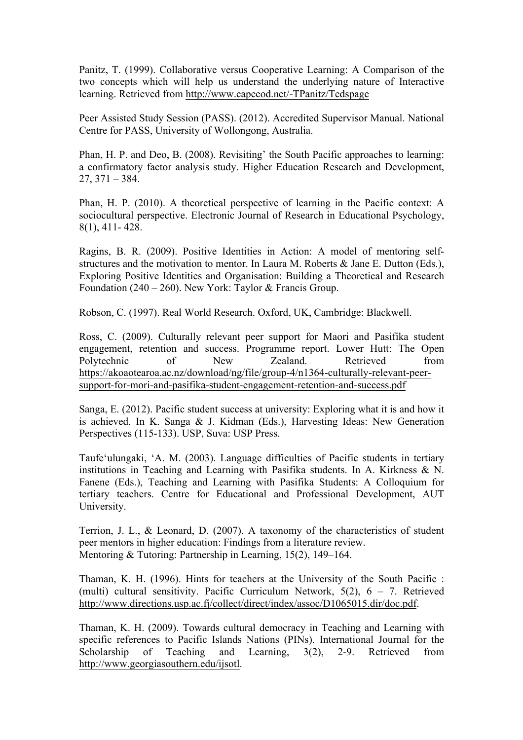Panitz, T. (1999). Collaborative versus Cooperative Learning: A Comparison of the two concepts which will help us understand the underlying nature of Interactive learning. Retrieved from http://www.capecod.net/-TPanitz/Tedspage

Peer Assisted Study Session (PASS). (2012). Accredited Supervisor Manual. National Centre for PASS, University of Wollongong, Australia.

Phan, H. P. and Deo, B. (2008). Revisiting' the South Pacific approaches to learning: a confirmatory factor analysis study. Higher Education Research and Development,  $27, 371 - 384.$ 

Phan, H. P. (2010). A theoretical perspective of learning in the Pacific context: A sociocultural perspective. Electronic Journal of Research in Educational Psychology, 8(1), 411- 428.

Ragins, B. R. (2009). Positive Identities in Action: A model of mentoring selfstructures and the motivation to mentor. In Laura M. Roberts & Jane E. Dutton (Eds.), Exploring Positive Identities and Organisation: Building a Theoretical and Research Foundation (240 – 260). New York: Taylor & Francis Group.

Robson, C. (1997). Real World Research. Oxford, UK, Cambridge: Blackwell.

Ross, C. (2009). Culturally relevant peer support for Maori and Pasifika student engagement, retention and success. Programme report. Lower Hutt: The Open Polytechnic of New Zealand. Retrieved from https://akoaotearoa.ac.nz/download/ng/file/group-4/n1364-culturally-relevant-peersupport-for-mori-and-pasifika-student-engagement-retention-and-success.pdf

Sanga, E. (2012). Pacific student success at university: Exploring what it is and how it is achieved. In K. Sanga & J. Kidman (Eds.), Harvesting Ideas: New Generation Perspectives (115-133). USP, Suva: USP Press.

Taufe'ulungaki, 'A. M. (2003). Language difficulties of Pacific students in tertiary institutions in Teaching and Learning with Pasifika students. In A. Kirkness & N. Fanene (Eds.), Teaching and Learning with Pasifika Students: A Colloquium for tertiary teachers. Centre for Educational and Professional Development, AUT University.

Terrion, J. L., & Leonard, D. (2007). A taxonomy of the characteristics of student peer mentors in higher education: Findings from a literature review. Mentoring & Tutoring: Partnership in Learning, 15(2), 149–164.

Thaman, K. H. (1996). Hints for teachers at the University of the South Pacific : (multi) cultural sensitivity. Pacific Curriculum Network, 5(2), 6 – 7. Retrieved http://www.directions.usp.ac.fj/collect/direct/index/assoc/D1065015.dir/doc.pdf.

Thaman, K. H. (2009). Towards cultural democracy in Teaching and Learning with specific references to Pacific Islands Nations (PINs). International Journal for the Scholarship of Teaching and Learning, 3(2), 2-9. Retrieved from http://www.georgiasouthern.edu/ijsotl.